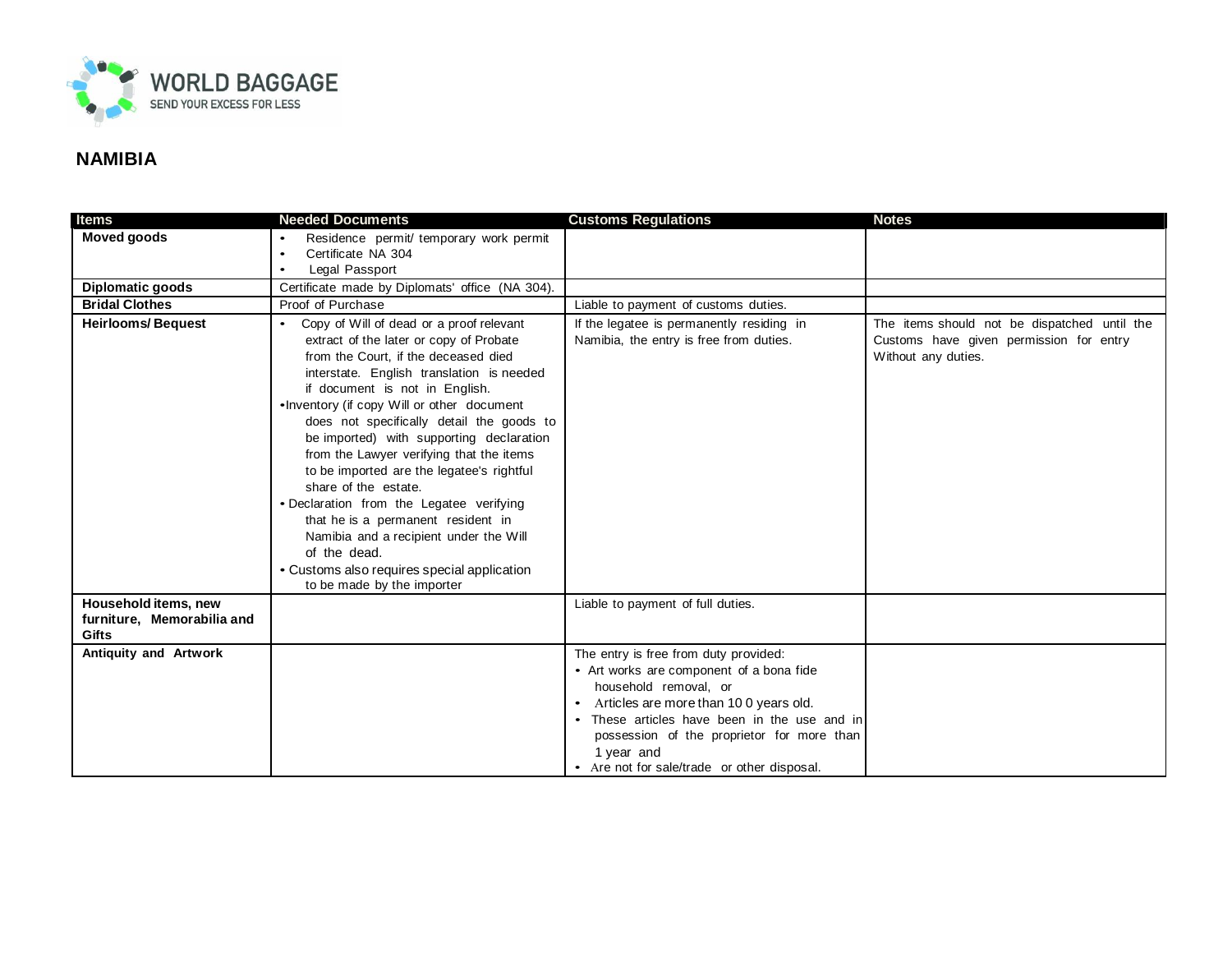

## **NAMIBIA**

| <b>Moved goods</b><br>Residence permit/ temporary work permit<br>$\bullet$                                                                                        |  |
|-------------------------------------------------------------------------------------------------------------------------------------------------------------------|--|
| Certificate NA 304<br>$\bullet$                                                                                                                                   |  |
| Legal Passport                                                                                                                                                    |  |
| Diplomatic goods<br>Certificate made by Diplomats' office (NA 304).                                                                                               |  |
| <b>Bridal Clothes</b><br>Proof of Purchase<br>Liable to payment of customs duties.                                                                                |  |
| <b>Heirlooms/Bequest</b><br>Copy of Will of dead or a proof relevant<br>The items should not be dispatched until the<br>If the legatee is permanently residing in |  |
| Namibia, the entry is free from duties.<br>extract of the later or copy of Probate<br>Customs have given permission for entry                                     |  |
| from the Court. if the deceased died<br>Without any duties.                                                                                                       |  |
| interstate. English translation is needed                                                                                                                         |  |
| if document is not in English.                                                                                                                                    |  |
| •Inventory (if copy Will or other document                                                                                                                        |  |
| does not specifically detail the goods to                                                                                                                         |  |
| be imported) with supporting declaration<br>from the Lawyer verifying that the items                                                                              |  |
| to be imported are the legatee's rightful                                                                                                                         |  |
| share of the estate.                                                                                                                                              |  |
| · Declaration from the Legatee verifying                                                                                                                          |  |
| that he is a permanent resident in                                                                                                                                |  |
| Namibia and a recipient under the Will                                                                                                                            |  |
| of the dead.                                                                                                                                                      |  |
| • Customs also requires special application                                                                                                                       |  |
| to be made by the importer                                                                                                                                        |  |
| Household items, new<br>Liable to payment of full duties.                                                                                                         |  |
| furniture, Memorabilia and                                                                                                                                        |  |
| <b>Gifts</b>                                                                                                                                                      |  |
| Antiquity and Artwork<br>The entry is free from duty provided:                                                                                                    |  |
| • Art works are component of a bona fide                                                                                                                          |  |
| household removal, or                                                                                                                                             |  |
| Articles are more than 100 years old.                                                                                                                             |  |
| • These articles have been in the use and in                                                                                                                      |  |
| possession of the proprietor for more than<br>1 year and                                                                                                          |  |
| • Are not for sale/trade or other disposal.                                                                                                                       |  |